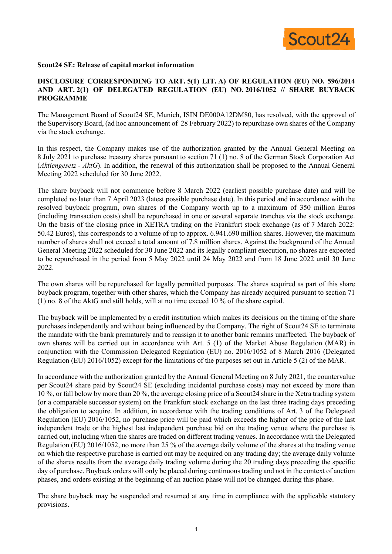

## **Scout24 SE: Release of capital market information**

## **DISCLOSURE CORRESPONDING TO ART. 5(1) LIT. A) OF REGULATION (EU) NO. 596/2014 AND ART. 2(1) OF DELEGATED REGULATION (EU) NO. 2016/1052 // SHARE BUYBACK PROGRAMME**

The Management Board of Scout24 SE, Munich, ISIN DE000A12DM80, has resolved, with the approval of the Supervisory Board, (ad hoc announcement of 28 February 2022) to repurchase own shares of the Company via the stock exchange.

In this respect, the Company makes use of the authorization granted by the Annual General Meeting on 8 July 2021 to purchase treasury shares pursuant to section 71 (1) no. 8 of the German Stock Corporation Act (*Aktiengesetz - AktG*). In addition, the renewal of this authorization shall be proposed to the Annual General Meeting 2022 scheduled for 30 June 2022.

The share buyback will not commence before 8 March 2022 (earliest possible purchase date) and will be completed no later than 7 April 2023 (latest possible purchase date). In this period and in accordance with the resolved buyback program, own shares of the Company worth up to a maximum of 350 million Euros (including transaction costs) shall be repurchased in one or several separate tranches via the stock exchange. On the basis of the closing price in XETRA trading on the Frankfurt stock exchange (as of 7 March 2022: 50.42 Euros), this corresponds to a volume of up to approx. 6.941.690 million shares. However, the maximum number of shares shall not exceed a total amount of 7.8 million shares. Against the background of the Annual General Meeting 2022 scheduled for 30 June 2022 and its legally compliant execution, no shares are expected to be repurchased in the period from 5 May 2022 until 24 May 2022 and from 18 June 2022 until 30 June 2022.

The own shares will be repurchased for legally permitted purposes. The shares acquired as part of this share buyback program, together with other shares, which the Company has already acquired pursuant to section 71 (1) no. 8 of the AktG and still holds, will at no time exceed 10 % of the share capital.

The buyback will be implemented by a credit institution which makes its decisions on the timing of the share purchases independently and without being influenced by the Company. The right of Scout24 SE to terminate the mandate with the bank prematurely and to reassign it to another bank remains unaffected. The buyback of own shares will be carried out in accordance with Art. 5 (1) of the Market Abuse Regulation (MAR) in conjunction with the Commission Delegated Regulation (EU) no. 2016/1052 of 8 March 2016 (Delegated Regulation (EU) 2016/1052) except for the limitations of the purposes set out in Article 5 (2) of the MAR.

In accordance with the authorization granted by the Annual General Meeting on 8 July 2021, the countervalue per Scout24 share paid by Scout24 SE (excluding incidental purchase costs) may not exceed by more than 10 %, or fall below by more than 20 %, the average closing price of a Scout24 share in the Xetra trading system (or a comparable successor system) on the Frankfurt stock exchange on the last three trading days preceding the obligation to acquire. In addition, in accordance with the trading conditions of Art. 3 of the Delegated Regulation (EU) 2016/1052, no purchase price will be paid which exceeds the higher of the price of the last independent trade or the highest last independent purchase bid on the trading venue where the purchase is carried out, including when the shares are traded on different trading venues. In accordance with the Delegated Regulation (EU) 2016/1052, no more than 25 % of the average daily volume of the shares at the trading venue on which the respective purchase is carried out may be acquired on any trading day; the average daily volume of the shares results from the average daily trading volume during the 20 trading days preceding the specific day of purchase. Buyback orders will only be placed during continuous trading and not in the context of auction phases, and orders existing at the beginning of an auction phase will not be changed during this phase.

The share buyback may be suspended and resumed at any time in compliance with the applicable statutory provisions.